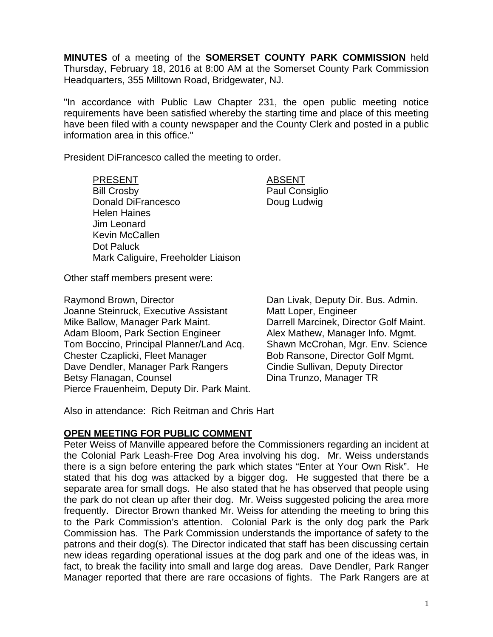**MINUTES** of a meeting of the **SOMERSET COUNTY PARK COMMISSION** held Thursday, February 18, 2016 at 8:00 AM at the Somerset County Park Commission Headquarters, 355 Milltown Road, Bridgewater, NJ.

"In accordance with Public Law Chapter 231, the open public meeting notice requirements have been satisfied whereby the starting time and place of this meeting have been filed with a county newspaper and the County Clerk and posted in a public information area in this office."

President DiFrancesco called the meeting to order.

PRESENT ABSENT Bill Crosby **Paul Consiglio** Donald DiFrancesco Doug Ludwig Helen Haines Jim Leonard Kevin McCallen Dot Paluck Mark Caliguire, Freeholder Liaison

Other staff members present were:

Raymond Brown, Director **Dan Livak, Deputy Dir. Bus. Admin.** Joanne Steinruck, Executive Assistant Matt Loper, Engineer Mike Ballow, Manager Park Maint. Darrell Marcinek, Director Golf Maint. Adam Bloom, Park Section Engineer Alex Mathew, Manager Info. Mgmt. Tom Boccino, Principal Planner/Land Acq. Shawn McCrohan, Mgr. Env. Science Chester Czaplicki, Fleet Manager Bob Ransone, Director Golf Mgmt. Dave Dendler, Manager Park Rangers Cindie Sullivan, Deputy Director Betsy Flanagan, Counsel **Dina Trunzo**, Manager TR Pierce Frauenheim, Deputy Dir. Park Maint.

Also in attendance: Rich Reitman and Chris Hart

### **OPEN MEETING FOR PUBLIC COMMENT**

Peter Weiss of Manville appeared before the Commissioners regarding an incident at the Colonial Park Leash-Free Dog Area involving his dog. Mr. Weiss understands there is a sign before entering the park which states "Enter at Your Own Risk". He stated that his dog was attacked by a bigger dog. He suggested that there be a separate area for small dogs. He also stated that he has observed that people using the park do not clean up after their dog. Mr. Weiss suggested policing the area more frequently. Director Brown thanked Mr. Weiss for attending the meeting to bring this to the Park Commission's attention. Colonial Park is the only dog park the Park Commission has. The Park Commission understands the importance of safety to the patrons and their dog(s). The Director indicated that staff has been discussing certain new ideas regarding operational issues at the dog park and one of the ideas was, in fact, to break the facility into small and large dog areas. Dave Dendler, Park Ranger Manager reported that there are rare occasions of fights. The Park Rangers are at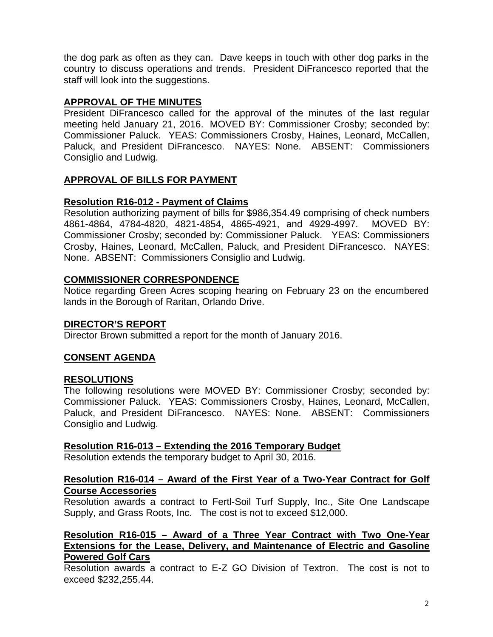the dog park as often as they can. Dave keeps in touch with other dog parks in the country to discuss operations and trends. President DiFrancesco reported that the staff will look into the suggestions.

# **APPROVAL OF THE MINUTES**

President DiFrancesco called for the approval of the minutes of the last regular meeting held January 21, 2016. MOVED BY: Commissioner Crosby; seconded by: Commissioner Paluck. YEAS: Commissioners Crosby, Haines, Leonard, McCallen, Paluck, and President DiFrancesco. NAYES: None. ABSENT: Commissioners Consiglio and Ludwig.

# **APPROVAL OF BILLS FOR PAYMENT**

# **Resolution R16-012 - Payment of Claims**

Resolution authorizing payment of bills for \$986,354.49 comprising of check numbers 4861-4864, 4784-4820, 4821-4854, 4865-4921, and 4929-4997. MOVED BY: Commissioner Crosby; seconded by: Commissioner Paluck. YEAS: Commissioners Crosby, Haines, Leonard, McCallen, Paluck, and President DiFrancesco. NAYES: None. ABSENT: Commissioners Consiglio and Ludwig.

# **COMMISSIONER CORRESPONDENCE**

Notice regarding Green Acres scoping hearing on February 23 on the encumbered lands in the Borough of Raritan, Orlando Drive.

### **DIRECTOR'S REPORT**

Director Brown submitted a report for the month of January 2016.

# **CONSENT AGENDA**

### **RESOLUTIONS**

The following resolutions were MOVED BY: Commissioner Crosby; seconded by: Commissioner Paluck. YEAS: Commissioners Crosby, Haines, Leonard, McCallen, Paluck, and President DiFrancesco. NAYES: None. ABSENT: Commissioners Consiglio and Ludwig.

### **Resolution R16-013 – Extending the 2016 Temporary Budget**

Resolution extends the temporary budget to April 30, 2016.

## **Resolution R16-014 – Award of the First Year of a Two-Year Contract for Golf Course Accessories**

Resolution awards a contract to Fertl-Soil Turf Supply, Inc., Site One Landscape Supply, and Grass Roots, Inc. The cost is not to exceed \$12,000.

## **Resolution R16-015 – Award of a Three Year Contract with Two One-Year Extensions for the Lease, Delivery, and Maintenance of Electric and Gasoline Powered Golf Cars**

Resolution awards a contract to E-Z GO Division of Textron. The cost is not to exceed \$232,255.44.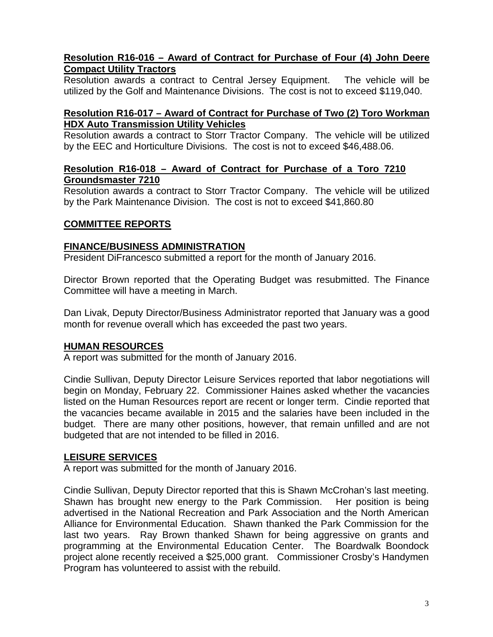## **Resolution R16-016 – Award of Contract for Purchase of Four (4) John Deere Compact Utility Tractors**

Resolution awards a contract to Central Jersey Equipment. The vehicle will be utilized by the Golf and Maintenance Divisions. The cost is not to exceed \$119,040.

## **Resolution R16-017 – Award of Contract for Purchase of Two (2) Toro Workman HDX Auto Transmission Utility Vehicles**

Resolution awards a contract to Storr Tractor Company. The vehicle will be utilized by the EEC and Horticulture Divisions. The cost is not to exceed \$46,488.06.

## **Resolution R16-018 – Award of Contract for Purchase of a Toro 7210 Groundsmaster 7210**

Resolution awards a contract to Storr Tractor Company. The vehicle will be utilized by the Park Maintenance Division. The cost is not to exceed \$41,860.80

## **COMMITTEE REPORTS**

### **FINANCE/BUSINESS ADMINISTRATION**

President DiFrancesco submitted a report for the month of January 2016.

Director Brown reported that the Operating Budget was resubmitted. The Finance Committee will have a meeting in March.

Dan Livak, Deputy Director/Business Administrator reported that January was a good month for revenue overall which has exceeded the past two years.

### **HUMAN RESOURCES**

A report was submitted for the month of January 2016.

Cindie Sullivan, Deputy Director Leisure Services reported that labor negotiations will begin on Monday, February 22. Commissioner Haines asked whether the vacancies listed on the Human Resources report are recent or longer term. Cindie reported that the vacancies became available in 2015 and the salaries have been included in the budget. There are many other positions, however, that remain unfilled and are not budgeted that are not intended to be filled in 2016.

### **LEISURE SERVICES**

A report was submitted for the month of January 2016.

Cindie Sullivan, Deputy Director reported that this is Shawn McCrohan's last meeting. Shawn has brought new energy to the Park Commission. Her position is being advertised in the National Recreation and Park Association and the North American Alliance for Environmental Education. Shawn thanked the Park Commission for the last two years. Ray Brown thanked Shawn for being aggressive on grants and programming at the Environmental Education Center. The Boardwalk Boondock project alone recently received a \$25,000 grant. Commissioner Crosby's Handymen Program has volunteered to assist with the rebuild.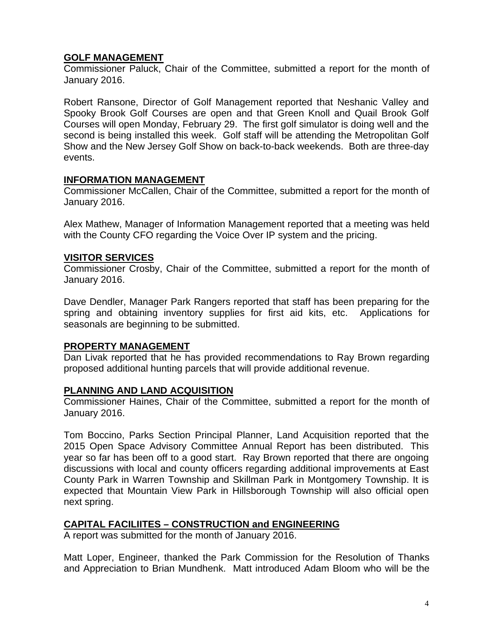## **GOLF MANAGEMENT**

Commissioner Paluck, Chair of the Committee, submitted a report for the month of January 2016.

Robert Ransone, Director of Golf Management reported that Neshanic Valley and Spooky Brook Golf Courses are open and that Green Knoll and Quail Brook Golf Courses will open Monday, February 29. The first golf simulator is doing well and the second is being installed this week. Golf staff will be attending the Metropolitan Golf Show and the New Jersey Golf Show on back-to-back weekends. Both are three-day events.

#### **INFORMATION MANAGEMENT**

Commissioner McCallen, Chair of the Committee, submitted a report for the month of January 2016.

Alex Mathew, Manager of Information Management reported that a meeting was held with the County CFO regarding the Voice Over IP system and the pricing.

#### **VISITOR SERVICES**

Commissioner Crosby, Chair of the Committee, submitted a report for the month of January 2016.

Dave Dendler, Manager Park Rangers reported that staff has been preparing for the spring and obtaining inventory supplies for first aid kits, etc. Applications for seasonals are beginning to be submitted.

### **PROPERTY MANAGEMENT**

Dan Livak reported that he has provided recommendations to Ray Brown regarding proposed additional hunting parcels that will provide additional revenue.

### **PLANNING AND LAND ACQUISITION**

Commissioner Haines, Chair of the Committee, submitted a report for the month of January 2016.

Tom Boccino, Parks Section Principal Planner, Land Acquisition reported that the 2015 Open Space Advisory Committee Annual Report has been distributed. This year so far has been off to a good start. Ray Brown reported that there are ongoing discussions with local and county officers regarding additional improvements at East County Park in Warren Township and Skillman Park in Montgomery Township. It is expected that Mountain View Park in Hillsborough Township will also official open next spring.

### **CAPITAL FACILIITES – CONSTRUCTION and ENGINEERING**

A report was submitted for the month of January 2016.

Matt Loper, Engineer, thanked the Park Commission for the Resolution of Thanks and Appreciation to Brian Mundhenk. Matt introduced Adam Bloom who will be the